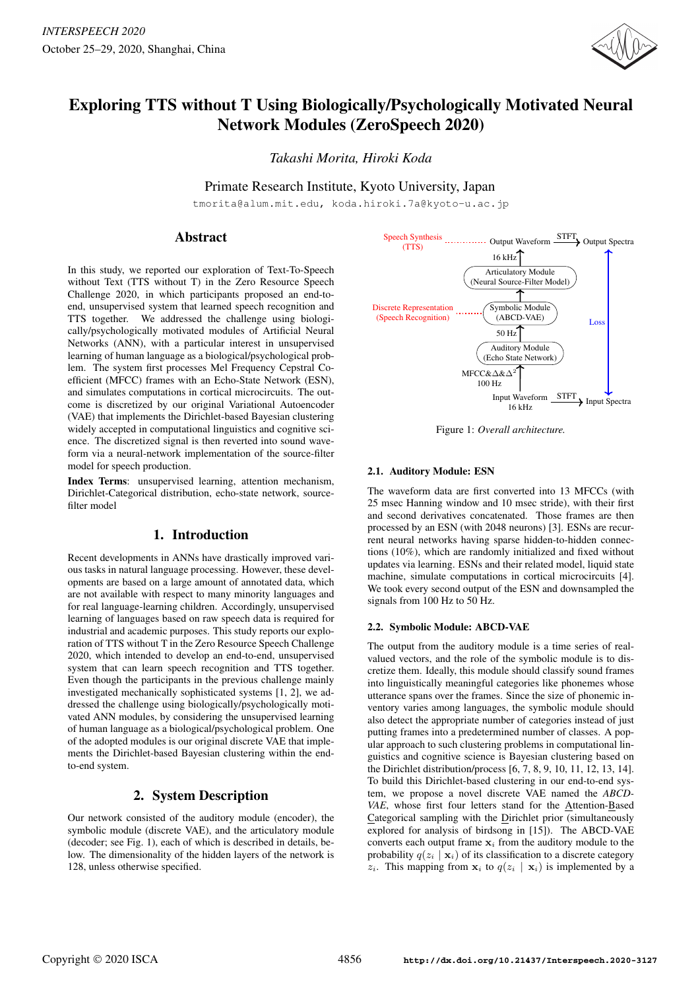

# Exploring TTS without T Using Biologically/Psychologically Motivated Neural Network Modules (ZeroSpeech 2020)

*Takashi Morita, Hiroki Koda*

Primate Research Institute, Kyoto University, Japan

tmorita@alum.mit.edu, koda.hiroki.7a@kyoto-u.ac.jp

# Abstract

In this study, we reported our exploration of Text-To-Speech without Text (TTS without T) in the Zero Resource Speech Challenge 2020, in which participants proposed an end-toend, unsupervised system that learned speech recognition and TTS together. We addressed the challenge using biologically/psychologically motivated modules of Artificial Neural Networks (ANN), with a particular interest in unsupervised learning of human language as a biological/psychological problem. The system first processes Mel Frequency Cepstral Coefficient (MFCC) frames with an Echo-State Network (ESN), and simulates computations in cortical microcircuits. The outcome is discretized by our original Variational Autoencoder (VAE) that implements the Dirichlet-based Bayesian clustering widely accepted in computational linguistics and cognitive science. The discretized signal is then reverted into sound waveform via a neural-network implementation of the source-filter model for speech production.

Index Terms: unsupervised learning, attention mechanism, Dirichlet-Categorical distribution, echo-state network, sourcefilter model

# 1. Introduction

Recent developments in ANNs have drastically improved various tasks in natural language processing. However, these developments are based on a large amount of annotated data, which are not available with respect to many minority languages and for real language-learning children. Accordingly, unsupervised learning of languages based on raw speech data is required for industrial and academic purposes. This study reports our exploration of TTS without T in the Zero Resource Speech Challenge 2020, which intended to develop an end-to-end, unsupervised system that can learn speech recognition and TTS together. Even though the participants in the previous challenge mainly investigated mechanically sophisticated systems [1, 2], we addressed the challenge using biologically/psychologically motivated ANN modules, by considering the unsupervised learning of human language as a biological/psychological problem. One of the adopted modules is our original discrete VAE that implements the Dirichlet-based Bayesian clustering within the endto-end system.

# 2. System Description

Our network consisted of the auditory module (encoder), the symbolic module (discrete VAE), and the articulatory module (decoder; see Fig. 1), each of which is described in details, below. The dimensionality of the hidden layers of the network is 128, unless otherwise specified.



Figure 1: *Overall architecture.*

## 2.1. Auditory Module: ESN

The waveform data are first converted into 13 MFCCs (with 25 msec Hanning window and 10 msec stride), with their first and second derivatives concatenated. Those frames are then processed by an ESN (with 2048 neurons) [3]. ESNs are recurrent neural networks having sparse hidden-to-hidden connections (10%), which are randomly initialized and fixed without updates via learning. ESNs and their related model, liquid state machine, simulate computations in cortical microcircuits [4]. We took every second output of the ESN and downsampled the signals from 100 Hz to 50 Hz.

### 2.2. Symbolic Module: ABCD-VAE

The output from the auditory module is a time series of realvalued vectors, and the role of the symbolic module is to discretize them. Ideally, this module should classify sound frames into linguistically meaningful categories like phonemes whose utterance spans over the frames. Since the size of phonemic inventory varies among languages, the symbolic module should also detect the appropriate number of categories instead of just putting frames into a predetermined number of classes. A popular approach to such clustering problems in computational linguistics and cognitive science is Bayesian clustering based on the Dirichlet distribution/process [6, 7, 8, 9, 10, 11, 12, 13, 14]. To build this Dirichlet-based clustering in our end-to-end system, we propose a novel discrete VAE named the *ABCD-VAE*, whose first four letters stand for the Attention-Based Categorical sampling with the Dirichlet prior (simultaneously explored for analysis of birdsong in [15]). The ABCD-VAE converts each output frame  $x_i$  from the auditory module to the probability  $q(z_i | \mathbf{x}_i)$  of its classification to a discrete category  $z_i$ . This mapping from  $x_i$  to  $q(z_i | x_i)$  is implemented by a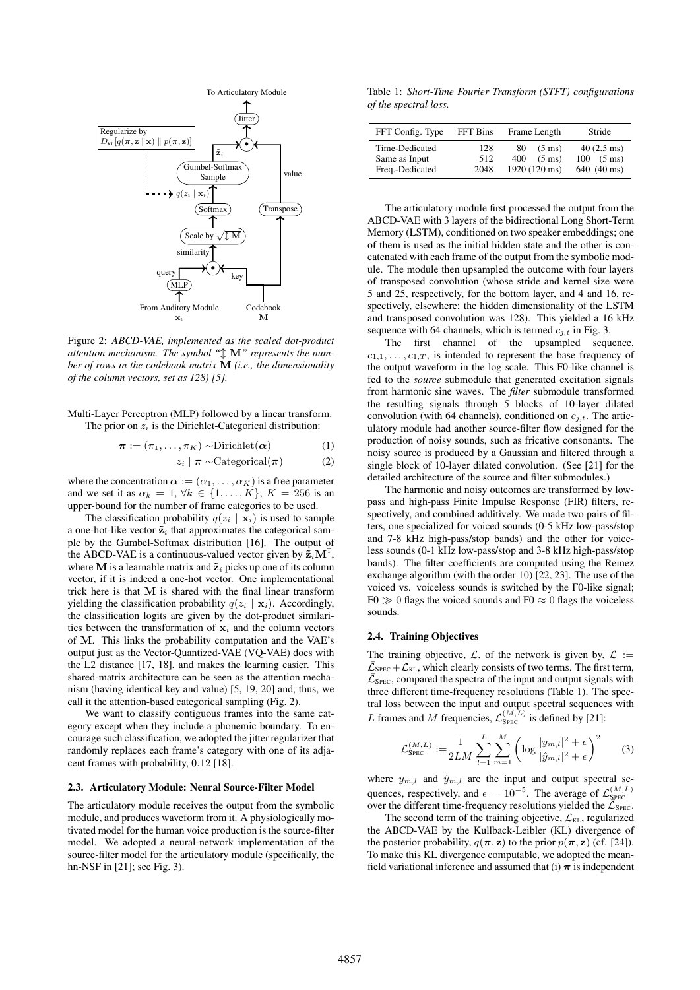

Figure 2: *ABCD-VAE, implemented as the scaled dot-product attention mechanism. The symbol "*l M*" represents the number of rows in the codebook matrix* M *(i.e., the dimensionality of the column vectors, set as 128) [5].*

Multi-Layer Perceptron (MLP) followed by a linear transform. The prior on  $z_i$  is the Dirichlet-Categorical distribution:

$$
\boldsymbol{\pi} := (\pi_1, \dots, \pi_K) \sim \text{Dirichlet}(\boldsymbol{\alpha}) \tag{1}
$$

$$
z_i \mid \boldsymbol{\pi} \sim \text{Categorical}(\boldsymbol{\pi}) \tag{2}
$$

where the concentration  $\alpha := (\alpha_1, \dots, \alpha_K)$  is a free parameter and we set it as  $\alpha_k = 1, \forall k \in \{1, \ldots, K\}; K = 256$  is an upper-bound for the number of frame categories to be used.

The classification probability  $q(z_i | \mathbf{x}_i)$  is used to sample a one-hot-like vector  $\tilde{\mathbf{z}}_i$  that approximates the categorical sample by the Gumbel-Softmax distribution [16]. The output of the ABCD-VAE is a continuous-valued vector given by  $\tilde{\mathbf{z}}_i \mathbf{M}^{\mathrm{T}}$ , where M is a learnable matrix and  $\tilde{\mathbf{z}}_i$  picks up one of its column vector, if it is indeed a one-hot vector. One implementational trick here is that M is shared with the final linear transform yielding the classification probability  $q(z_i | \mathbf{x}_i)$ . Accordingly, the classification logits are given by the dot-product similarities between the transformation of  $x_i$  and the column vectors of M. This links the probability computation and the VAE's output just as the Vector-Quantized-VAE (VQ-VAE) does with the L2 distance [17, 18], and makes the learning easier. This shared-matrix architecture can be seen as the attention mechanism (having identical key and value) [5, 19, 20] and, thus, we call it the attention-based categorical sampling (Fig. 2).

We want to classify contiguous frames into the same category except when they include a phonemic boundary. To encourage such classification, we adopted the jitter regularizer that randomly replaces each frame's category with one of its adjacent frames with probability, 0.12 [18].

#### 2.3. Articulatory Module: Neural Source-Filter Model

The articulatory module receives the output from the symbolic module, and produces waveform from it. A physiologically motivated model for the human voice production is the source-filter model. We adopted a neural-network implementation of the source-filter model for the articulatory module (specifically, the hn-NSF in [21]; see Fig. 3).

Table 1: *Short-Time Fourier Transform (STFT) configurations of the spectral loss.*

| FFT Config. Type                                   | FFT Bins           | Frame Length                                                       | Stride                                                     |  |  |
|----------------------------------------------------|--------------------|--------------------------------------------------------------------|------------------------------------------------------------|--|--|
| Time-Dedicated<br>Same as Input<br>Freq.-Dedicated | 128<br>512<br>2048 | $(5 \text{ ms})$<br>80<br>$(5 \text{ ms})$<br>400<br>1920 (120 ms) | $40(2.5 \text{ ms})$<br>$100(5 \text{ ms})$<br>640 (40 ms) |  |  |

The articulatory module first processed the output from the ABCD-VAE with 3 layers of the bidirectional Long Short-Term Memory (LSTM), conditioned on two speaker embeddings; one of them is used as the initial hidden state and the other is concatenated with each frame of the output from the symbolic module. The module then upsampled the outcome with four layers of transposed convolution (whose stride and kernel size were 5 and 25, respectively, for the bottom layer, and 4 and 16, respectively, elsewhere; the hidden dimensionality of the LSTM and transposed convolution was 128). This yielded a 16 kHz sequence with 64 channels, which is termed  $c_{i,t}$  in Fig. 3.

The first channel of the upsampled sequence,  $c_{1,1}, \ldots, c_{1,T}$ , is intended to represent the base frequency of the output waveform in the log scale. This F0-like channel is fed to the *source* submodule that generated excitation signals from harmonic sine waves. The *filter* submodule transformed the resulting signals through 5 blocks of 10-layer dilated convolution (with 64 channels), conditioned on  $c_{j,t}$ . The articulatory module had another source-filter flow designed for the production of noisy sounds, such as fricative consonants. The noisy source is produced by a Gaussian and filtered through a single block of 10-layer dilated convolution. (See [21] for the detailed architecture of the source and filter submodules.)

The harmonic and noisy outcomes are transformed by lowpass and high-pass Finite Impulse Response (FIR) filters, respectively, and combined additively. We made two pairs of filters, one specialized for voiced sounds (0-5 kHz low-pass/stop and 7-8 kHz high-pass/stop bands) and the other for voiceless sounds (0-1 kHz low-pass/stop and 3-8 kHz high-pass/stop bands). The filter coefficients are computed using the Remez exchange algorithm (with the order 10) [22, 23]. The use of the voiced vs. voiceless sounds is switched by the F0-like signal;  $F0 \gg 0$  flags the voiced sounds and  $F0 \approx 0$  flags the voiceless sounds.

### 2.4. Training Objectives

The training objective,  $\mathcal{L}$ , of the network is given by,  $\mathcal{L}$  :=  $\mathcal{L}_{\text{SPEC}}+\mathcal{L}_{\text{KL}}$ , which clearly consists of two terms. The first term,  $\overline{\mathcal{L}}_{\text{SPEC}}$ , compared the spectra of the input and output signals with three different time-frequency resolutions (Table 1). The spectral loss between the input and output spectral sequences with L frames and M frequencies,  $\mathcal{L}_{\text{SPEC}}^{(M,L)}$  is defined by [21]:

$$
\mathcal{L}_{\text{SPEC}}^{(M,L)} := \frac{1}{2LM} \sum_{l=1}^{L} \sum_{m=1}^{M} \left( \log \frac{|y_{m,l}|^2 + \epsilon}{|\hat{y}_{m,l}|^2 + \epsilon} \right)^2 \tag{3}
$$

where  $y_{m,l}$  and  $\hat{y}_{m,l}$  are the input and output spectral sequences, respectively, and  $\epsilon = 10^{-5}$ . The average of  $\mathcal{L}_{\text{Spec}}^{(M,L)}$ over the different time-frequency resolutions yielded the  $\overline{\mathcal{L}}_{\text{SPEC}}$ .

The second term of the training objective,  $\mathcal{L}_{KL}$ , regularized the ABCD-VAE by the Kullback-Leibler (KL) divergence of the posterior probability,  $q(\pi, \mathbf{z})$  to the prior  $p(\pi, \mathbf{z})$  (cf. [24]). To make this KL divergence computable, we adopted the meanfield variational inference and assumed that (i)  $\pi$  is independent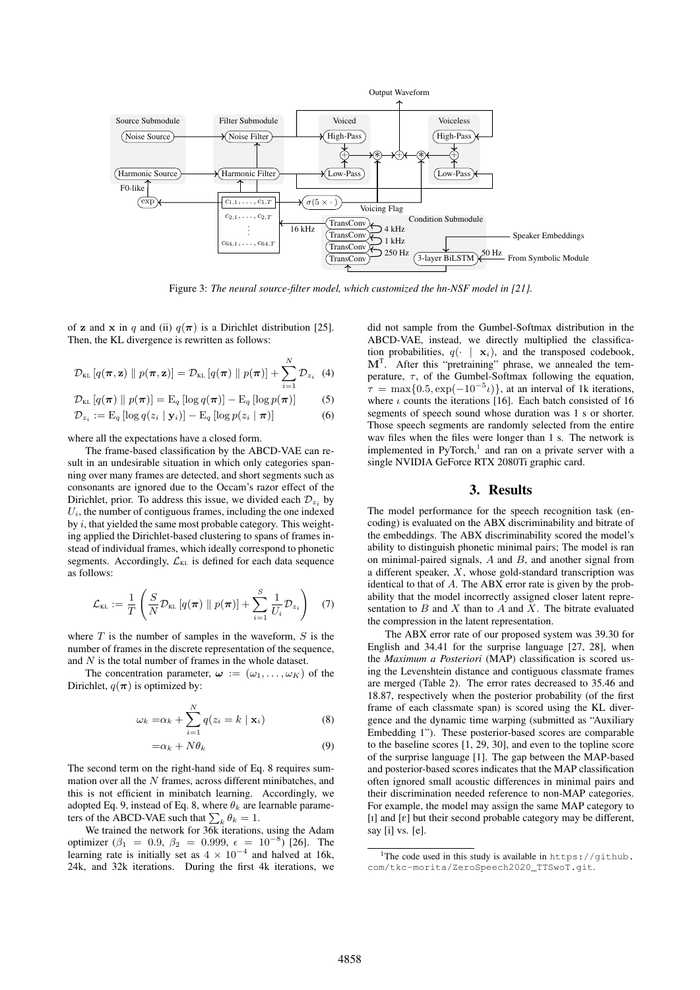

Figure 3: *The neural source-filter model, which customized the hn-NSF model in [21].*

of z and x in q and (ii)  $q(\pi)$  is a Dirichlet distribution [25]. Then, the KL divergence is rewritten as follows:

$$
\mathcal{D}_{\text{KL}}[q(\boldsymbol{\pi}, \mathbf{z}) \parallel p(\boldsymbol{\pi}, \mathbf{z})] = \mathcal{D}_{\text{KL}}[q(\boldsymbol{\pi}) \parallel p(\boldsymbol{\pi})] + \sum_{i=1}^{N} \mathcal{D}_{z_i} \quad (4)
$$

$$
\mathcal{D}_{\text{KL}}\left[q(\boldsymbol{\pi}) \parallel p(\boldsymbol{\pi})\right] = \mathrm{E}_q\left[\log q(\boldsymbol{\pi})\right] - \mathrm{E}_q\left[\log p(\boldsymbol{\pi})\right] \tag{5}
$$

$$
\mathcal{D}_{z_i} := \mathrm{E}_q \left[ \log q(z_i \mid \mathbf{y}_i) \right] - \mathrm{E}_q \left[ \log p(z_i \mid \boldsymbol{\pi}) \right] \tag{6}
$$

where all the expectations have a closed form.

The frame-based classification by the ABCD-VAE can result in an undesirable situation in which only categories spanning over many frames are detected, and short segments such as consonants are ignored due to the Occam's razor effect of the Dirichlet, prior. To address this issue, we divided each  $\mathcal{D}_{z_i}$  by  $U_i$ , the number of contiguous frames, including the one indexed by  $i$ , that yielded the same most probable category. This weighting applied the Dirichlet-based clustering to spans of frames instead of individual frames, which ideally correspond to phonetic segments. Accordingly,  $\mathcal{L}_{KL}$  is defined for each data sequence as follows:

$$
\mathcal{L}_{\text{KL}} := \frac{1}{T} \left( \frac{S}{N} \mathcal{D}_{\text{KL}} \left[ q(\boldsymbol{\pi}) \parallel p(\boldsymbol{\pi}) \right] + \sum_{i=1}^{S} \frac{1}{U_i} \mathcal{D}_{z_i} \right) \quad (7)
$$

where  $T$  is the number of samples in the waveform,  $S$  is the number of frames in the discrete representation of the sequence, and  $N$  is the total number of frames in the whole dataset.

The concentration parameter,  $\boldsymbol{\omega} := (\omega_1, \dots, \omega_K)$  of the Dirichlet,  $q(\pi)$  is optimized by:

$$
\omega_k = \alpha_k + \sum_{i=1}^N q(z_i = k \mid \mathbf{x}_i)
$$
\n(8)

$$
=\alpha_k + N\theta_k \tag{9}
$$

The second term on the right-hand side of Eq. 8 requires summation over all the  $N$  frames, across different minibatches, and this is not efficient in minibatch learning. Accordingly, we adopted Eq. 9, instead of Eq. 8, where  $\theta_k$  are learnable parameters of the ABCD-VAE such that  $\sum_k \theta_k = 1$ .

We trained the network for 36k iterations, using the Adam optimizer ( $\beta_1 = 0.9, \ \beta_2 = 0.999, \ \epsilon = 10^{-8}$ ) [26]. The learning rate is initially set as  $4 \times 10^{-4}$  and halved at 16k, 24k, and 32k iterations. During the first 4k iterations, we

did not sample from the Gumbel-Softmax distribution in the ABCD-VAE, instead, we directly multiplied the classification probabilities,  $q(\cdot | \mathbf{x}_i)$ , and the transposed codebook,  $M<sup>T</sup>$ . After this "pretraining" phrase, we annealed the temperature,  $\tau$ , of the Gumbel-Softmax following the equation,  $\tau = \max\{0.5, \exp(-10^{-5} \iota)\}\,$ , at an interval of 1k iterations, where  $\iota$  counts the iterations [16]. Each batch consisted of 16 segments of speech sound whose duration was 1 s or shorter. Those speech segments are randomly selected from the entire wav files when the files were longer than 1 s. The network is implemented in PyTorch,<sup>1</sup> and ran on a private server with a single NVIDIA GeForce RTX 2080Ti graphic card.

### 3. Results

The model performance for the speech recognition task (encoding) is evaluated on the ABX discriminability and bitrate of the embeddings. The ABX discriminability scored the model's ability to distinguish phonetic minimal pairs; The model is ran on minimal-paired signals,  $A$  and  $B$ , and another signal from a different speaker,  $\overline{X}$ , whose gold-standard transcription was identical to that of A. The ABX error rate is given by the probability that the model incorrectly assigned closer latent representation to  $B$  and  $X$  than to  $A$  and  $X$ . The bitrate evaluated the compression in the latent representation.

The ABX error rate of our proposed system was 39.30 for English and 34.41 for the surprise language [27, 28], when the *Maximum a Posteriori* (MAP) classification is scored using the Levenshtein distance and contiguous classmate frames are merged (Table 2). The error rates decreased to 35.46 and 18.87, respectively when the posterior probability (of the first frame of each classmate span) is scored using the KL divergence and the dynamic time warping (submitted as "Auxiliary Embedding 1"). These posterior-based scores are comparable to the baseline scores [1, 29, 30], and even to the topline score of the surprise language [1]. The gap between the MAP-based and posterior-based scores indicates that the MAP classification often ignored small acoustic differences in minimal pairs and their discrimination needed reference to non-MAP categories. For example, the model may assign the same MAP category to  $[I]$  and  $[\varepsilon]$  but their second probable category may be different, say [i] vs. [e].

<sup>&</sup>lt;sup>1</sup>The code used in this study is available in https://github. com/tkc-morita/ZeroSpeech2020\_TTSwoT.git.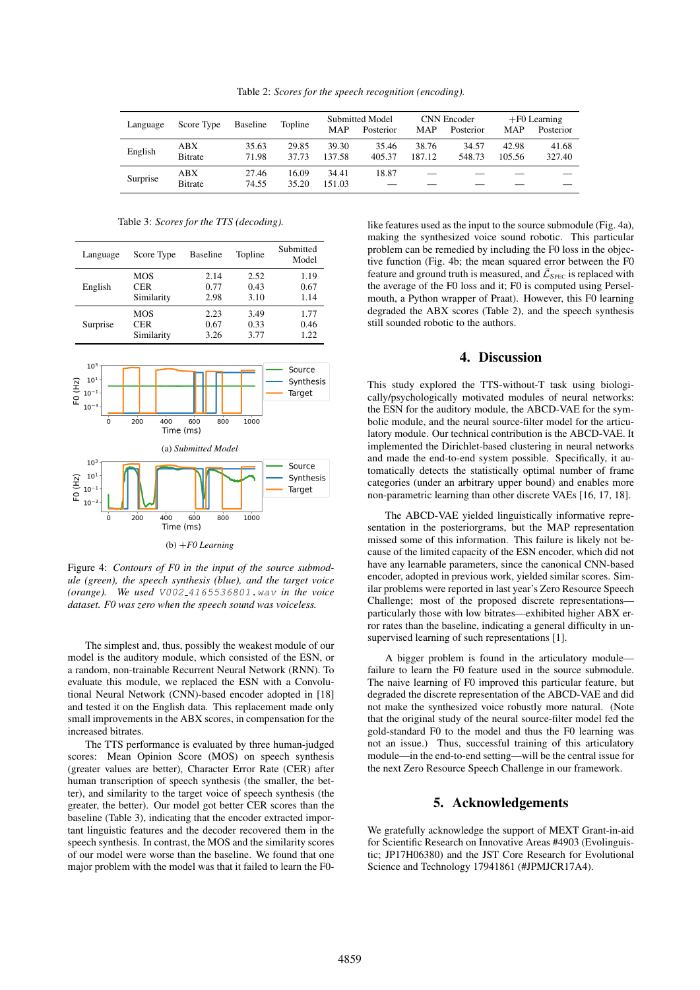Table 2: *Scores for the speech recognition (encoding).*

| Language | Score Type             | Baseline       | Topline        | MAP             | Submitted Model<br>Posterior | MAP             | CNN Encoder<br>Posterior | MAP             | $+F0$ Learning<br>Posterior |
|----------|------------------------|----------------|----------------|-----------------|------------------------------|-----------------|--------------------------|-----------------|-----------------------------|
| English  | ABX<br><b>B</b> itrate | 35.63<br>71.98 | 29.85<br>37.73 | 39.30<br>137.58 | 35.46<br>405.37              | 38.76<br>187.12 | 34.57<br>548.73          | 42.98<br>105.56 | 41.68<br>327.40             |
| Surprise | ABX<br><b>B</b> itrate | 27.46<br>74.55 | 16.09<br>35.20 | 34.41<br>151.03 | 18.87                        |                 |                          |                 |                             |

Table 3: *Scores for the TTS (decoding).*



Figure 4: *Contours of F0 in the input of the source submodule (green), the speech synthesis (blue), and the target voice (orange). We used* V002 4165536801.wav *in the voice dataset. F0 was zero when the speech sound was voiceless.*

The simplest and, thus, possibly the weakest module of our model is the auditory module, which consisted of the ESN, or a random, non-trainable Recurrent Neural Network (RNN). To evaluate this module, we replaced the ESN with a Convolutional Neural Network (CNN)-based encoder adopted in [18] and tested it on the English data. This replacement made only small improvements in the ABX scores, in compensation for the increased bitrates.

The TTS performance is evaluated by three human-judged scores: Mean Opinion Score (MOS) on speech synthesis (greater values are better), Character Error Rate (CER) after human transcription of speech synthesis (the smaller, the better), and similarity to the target voice of speech synthesis (the greater, the better). Our model got better CER scores than the baseline (Table 3), indicating that the encoder extracted important linguistic features and the decoder recovered them in the speech synthesis. In contrast, the MOS and the similarity scores of our model were worse than the baseline. We found that one major problem with the model was that it failed to learn the F0like features used as the input to the source submodule (Fig. 4a), making the synthesized voice sound robotic. This particular problem can be remedied by including the F0 loss in the objective function (Fig. 4b; the mean squared error between the F0 feature and ground truth is measured, and  $\bar{\mathcal{L}}_{\text{SPEC}}$  is replaced with the average of the F0 loss and it; F0 is computed using Perselmouth, a Python wrapper of Praat). However, this F0 learning degraded the ABX scores (Table 2), and the speech synthesis still sounded robotic to the authors.

### 4. Discussion

This study explored the TTS-without-T task using biologically/psychologically motivated modules of neural networks: the ESN for the auditory module, the ABCD-VAE for the symbolic module, and the neural source-filter model for the articulatory module. Our technical contribution is the ABCD-VAE. It implemented the Dirichlet-based clustering in neural networks and made the end-to-end system possible. Specifically, it automatically detects the statistically optimal number of frame categories (under an arbitrary upper bound) and enables more non-parametric learning than other discrete VAEs [16, 17, 18].

The ABCD-VAE yielded linguistically informative representation in the posteriorgrams, but the MAP representation missed some of this information. This failure is likely not because of the limited capacity of the ESN encoder, which did not have any learnable parameters, since the canonical CNN-based encoder, adopted in previous work, yielded similar scores. Similar problems were reported in last year's Zero Resource Speech Challenge; most of the proposed discrete representations particularly those with low bitrates—exhibited higher ABX error rates than the baseline, indicating a general difficulty in unsupervised learning of such representations [1].

A bigger problem is found in the articulatory module failure to learn the F0 feature used in the source submodule. The naive learning of F0 improved this particular feature, but degraded the discrete representation of the ABCD-VAE and did not make the synthesized voice robustly more natural. (Note that the original study of the neural source-filter model fed the gold-standard F0 to the model and thus the F0 learning was not an issue.) Thus, successful training of this articulatory module—in the end-to-end setting—will be the central issue for the next Zero Resource Speech Challenge in our framework.

## 5. Acknowledgements

We gratefully acknowledge the support of MEXT Grant-in-aid for Scientific Research on Innovative Areas #4903 (Evolinguistic; JP17H06380) and the JST Core Research for Evolutional Science and Technology 17941861 (#JPMJCR17A4).